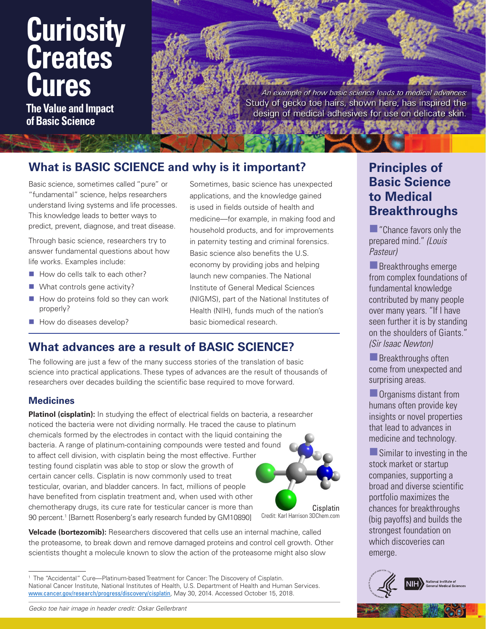# **Curiosity Creates Cures**

**The Value and Impact of Basic Science**

An example of how basic science leads to medical advances: Study of gecko toe hairs, shown here, has inspired the design of medical adhesives for use on delicate skin.

# **What is BASIC SCIENCE and why is it important?**

Basic science, sometimes called "pure" or "fundamental" science, helps researchers understand living systems and life processes. This knowledge leads to better ways to predict, prevent, diagnose, and treat disease.

Through basic science, researchers try to answer fundamental questions about how life works. Examples include:

- How do cells talk to each other?
- What controls gene activity?
- $\blacksquare$  How do proteins fold so they can work properly?
- How do diseases develop?

Sometimes, basic science has unexpected applications, and the knowledge gained is used in fields outside of health and medicine—for example, in making food and household products, and for improvements in paternity testing and criminal forensics. Basic science also benefits the U.S. economy by providing jobs and helping launch new companies. The National Institute of General Medical Sciences (NIGMS), part of the National Institutes of Health (NIH), funds much of the nation's basic biomedical research.

## **What advances are a result of BASIC SCIENCE?**

The following are just a few of the many success stories of the translation of basic science into practical applications. These types of advances are the result of thousands of researchers over decades building the scientific base required to move forward.

## **Medicines**

Credit: Karl Harrison 3DChem.com **Platinol (cisplatin):** In studying the effect of electrical fields on bacteria, a researcher noticed the bacteria were not dividing normally. He traced the cause to platinum chemicals formed by the electrodes in contact with the liquid containing the bacteria. A range of platinum-containing compounds were tested and found to affect cell division, with cisplatin being the most effective. Further testing found cisplatin was able to stop or slow the growth of certain cancer cells. Cisplatin is now commonly used to treat testicular, ovarian, and bladder cancers. In fact, millions of people have benefited from cisplatin treatment and, when used with other chemotherapy drugs, its cure rate for testicular cancer is more than 90 percent.<sup>1</sup> [Barnett Rosenberg's early research funded by GM10890]



**Velcade (bortezomib):** Researchers discovered that cells use an internal machine, called the proteasome, to break down and remove damaged proteins and control cell growth. Other scientists thought a molecule known to slow the action of the proteasome might also slow

1 The "Accidental" Cure—Platinum-based Treatment for Cancer: The Discovery of Cisplatin. National Cancer Institute, National Institutes of Health, U.S. Department of Health and Human Services. [www.cancer.gov/research/progress/discovery/cisplatin](http://www.cancer.gov/research/progress/discovery/cisplatin), May 30, 2014. Accessed October 15, 2018.

# **Principles of Basic Science to Medical Breakthroughs**

**The "Chance favors only the**" prepared mind." *(Louis Pasteur)*

**Breakthroughs emerge** from complex foundations of fundamental knowledge contributed by many people over many years. "If I have seen further it is by standing on the shoulders of Giants." *(*Sir *Isaac Newton)*

**Breakthroughs often** come from unexpected and surprising areas.

**Organisms distant from** humans often provide key insights or novel properties that lead to advances in medicine and technology.

Similar to investing in the stock market or startup companies, supporting a broad and diverse scientific portfolio maximizes the chances for breakthroughs (big payoffs) and builds the strongest foundation on which discoveries can emerge.



*Gecko toe hair image in header credit: Oskar Gellerbrant*